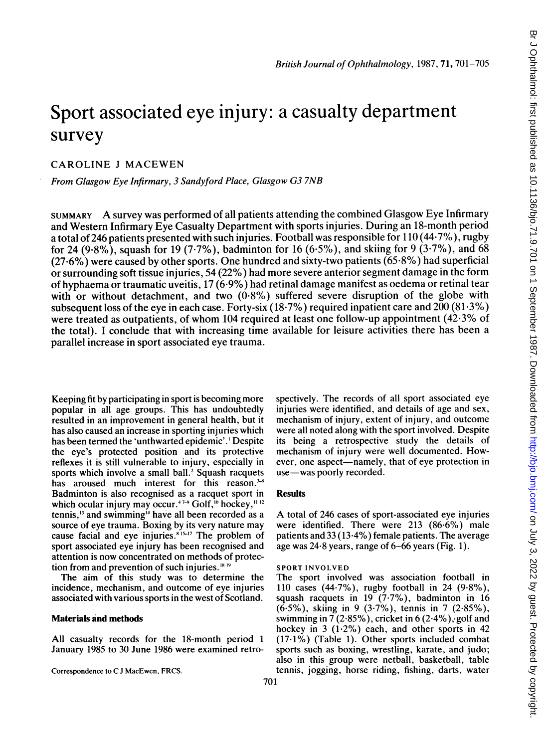# Sport associated eye injury: a casualty department survey

## CAROLINE <sup>J</sup> MACEWEN

From Glasgow Eye Infirmary, 3 Sandyford Place, Glasgow G3 7NB

SUMMARY A survey was performed of all patients attending the combined Glasgow Eye Infirmary and Western Infirmary Eye Casualty Department with sports injuries. During an 18-month period a total of 246 patients presented with such injuries. Football was responsible for 110 (44-7%), rugby for 24 (9.8%), squash for 19 (7.7%), badminton for 16 (6.5%), and skiing for 9 (3.7%), and 68 (27-6%) were caused by other sports. One hundred and sixty-two patients (65-8%) had superficial or surrounding soft tissue injuries, 54 (22%) had more severe anterior segment damage in the form of hyphaema or traumatic uveitis, 17 (6-9%) had retinal damage manifest as oedema or retinal tear with or without detachment, and two  $(0.8\%)$  suffered severe disruption of the globe with subsequent loss of the eye in each case. Forty-six (18.7%) required inpatient care and 200 (81.3%) were treated as outpatients, of whom 104 required at least one follow-up appointment (42-3% of the total). <sup>I</sup> conclude that with increasing time available for leisure activities there has been a parallel increase in sport associated eye trauma.

Keeping fit by participating in sport is becoming more popular in all age groups. This has undoubtedly resulted in an improvement in general health, but it has also caused an increase in sporting injuries which has been termed the 'unthwarted epidemic'. ' Despite the eye's protected position and its protective reflexes it is still vulnerable to injury, especially in sports which involve a small ball.<sup>2</sup> Squash racquets has aroused much interest for this reason.<sup>34</sup> Badminton is also recognised as a racquet sport in which ocular injury may occur.<sup>47-9</sup> Golf,<sup>10</sup> hockey,<sup>11-12</sup> tennis,<sup>13</sup> and swimming<sup>14</sup> have all been recorded as a source of eye trauma. Boxing by its very nature may cause facial and eye injuries. $815-17$  The problem of sport associated eye injury has been recognised and attention is now concentrated on methods of protection from and prevention of such injuries.  $18.18$ 

The aim of this study was to determine the incidence, mechanism, and outcome of eye injuries associated with various sports in the west of Scotland.

### Materials and methods

All casualty records for the 18-month period <sup>1</sup> January 1985 to 30 June 1986 were examined retro-

Correspondence to C <sup>J</sup> MacEwen, FRCS.

110 cases (44-7%), rugby football in 24 (9.8%), squash racquets in 19 (7.7%), badminton in 16

SPORT INVOLVED

use-was poorly recorded.

**Results** 

(6.5%), skiing in 9 (3-7%), tennis in 7 (2-85%), swimming in 7 (2.85%), cricket in 6 (2.4%), golf and hockey in 3 (1.2%) each, and other sports in 42  $(17.1\%)$  (Table 1). Other sports included combat sports such as boxing, wrestling, karate, and judo; also in this group were netball, basketball, table tennis, jogging, horse riding, fishing, darts, water

spectively. The records of all sport associated eye injuries were identified, and details of age and sex, mechanism of injury, extent of injury, and outcome were all noted along with the sport involved. Despite its being a retrospective study the details of mechanism of injury were well documented. However, one aspect—namely, that of eye protection in

A total of <sup>246</sup> cases of sport-associated eye injuries were identified. There were 213 (86.6%) male patients and  $33(13.4\%)$  female patients. The average age was  $24.8$  years, range of 6-66 years (Fig. 1).

The sport involved was association football in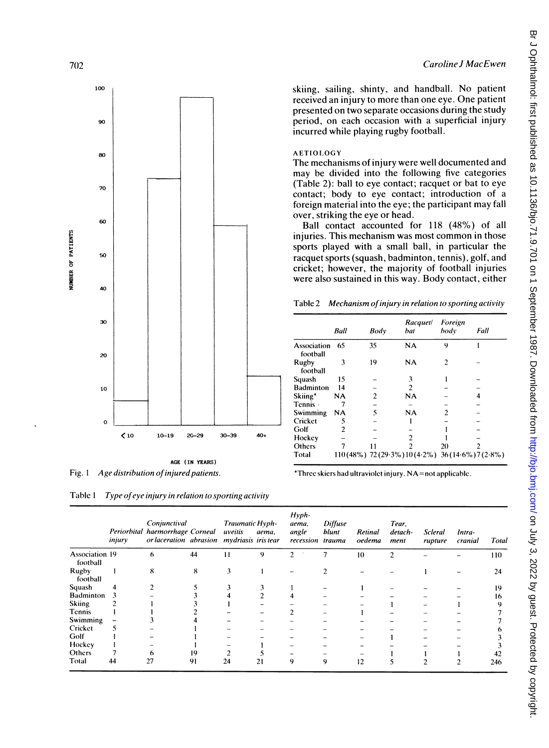

Fig. 1 Age distribution of injured patients.

Table 1 Type of eye injury in relation to sporting activity

|                            | injury | Conjunctival<br>Periorbital haemorrhage Corneal<br>or laceration abrasion mydriasis iris tear |    | <b>Traumatic Hyph-</b><br>uveitis | aema. | $Hyph-$<br>aema,<br>angle<br>recession trauma | <b>Diffuse</b><br>blunt | Retinal<br>oedema | Tear.<br>detach-<br>ment | Scleral<br>rupture | Intra-<br>cranial | Total |
|----------------------------|--------|-----------------------------------------------------------------------------------------------|----|-----------------------------------|-------|-----------------------------------------------|-------------------------|-------------------|--------------------------|--------------------|-------------------|-------|
| Association 19<br>football |        | 6                                                                                             | 44 | 11                                | 9     | 2                                             | 7                       | 10                | $\overline{c}$           |                    |                   | 110   |
| Rugby<br>football          |        | 8                                                                                             | 8  | 3                                 |       |                                               |                         |                   |                          |                    |                   | 24    |
| Squash                     | 4      |                                                                                               |    |                                   |       |                                               |                         |                   |                          |                    |                   | 19    |
| Badminton                  | 3      |                                                                                               |    |                                   |       |                                               |                         |                   |                          |                    |                   | 16    |
| <b>Skiing</b>              |        |                                                                                               |    |                                   |       |                                               |                         |                   |                          |                    |                   |       |
| Tennis                     |        |                                                                                               |    |                                   |       |                                               |                         |                   |                          |                    |                   |       |
| Swimming                   |        |                                                                                               |    |                                   |       |                                               |                         |                   |                          |                    |                   |       |
| Cricket                    |        |                                                                                               |    |                                   |       |                                               |                         |                   |                          |                    |                   |       |
| Golf                       |        |                                                                                               |    |                                   |       |                                               |                         |                   |                          |                    |                   |       |
| Hockey                     |        |                                                                                               |    |                                   |       |                                               |                         |                   |                          |                    |                   |       |
| Others                     |        | o                                                                                             | 19 |                                   |       |                                               |                         |                   |                          |                    |                   |       |
| Total                      | 44     | 27                                                                                            | 91 | 24                                | 21    | 9                                             | 9                       | 12                |                          |                    |                   | 246   |

skiing, sailing, shinty, and handball. No patient received an injury to more than one eye. One patient presented on two separate occasions during the study period, on each occasion with a superficial injury incurred while playing rugby football.

#### **AETIOLOGY**

The mechanisms of injury were well documented and may be divided into the following five categories (Table 2): ball to eye contact; racquet or bat to eye contact; body to eye contact; introduction of a foreign material into the eye; the participant may fall over, striking the eye or head.

Ball contact accounted for 118 (48%) of all injuries. This mechanism was most common in those sports played with a small ball, in particular the racquet sports (squash, badminton, tennis), golf, and cricket; however, the majority of football injuries were also sustained in this way. Body contact, either

|  |  |  | Table 2 Mechanism of injury in relation to sporting activity |
|--|--|--|--------------------------------------------------------------|
|--|--|--|--------------------------------------------------------------|

|                         | Ball           | Body           | Racquet/<br>bat                                    | Foreign<br>body | Fall |
|-------------------------|----------------|----------------|----------------------------------------------------|-----------------|------|
| Association<br>football | 65             | 35             | NA                                                 | 9               |      |
| Rugby<br>football       | 3              | 19             | NA                                                 | 2               |      |
| Squash                  | 15             |                | 3                                                  |                 |      |
| <b>Badminton</b>        | 14             |                | 2                                                  |                 |      |
| Skiing*                 | NA             | $\overline{c}$ | <b>NA</b>                                          |                 | 4    |
| Tennis ·                |                |                |                                                    |                 |      |
| Swimming                | NA             | 5              | NA                                                 | 2               |      |
| Cricket                 | 5              |                |                                                    |                 |      |
| Golf                    | $\overline{c}$ |                |                                                    |                 |      |
| Hockey                  |                |                | 2                                                  |                 |      |
| Others                  |                |                | 2                                                  | 20              |      |
| Total                   |                |                | $110(48\%)$ 72(29.3%) $10(4.2\%)$ 36(14.6%)7(2.8%) |                 |      |

\*Three skiers had ultraviolet injury. NA=not applicable.

7()2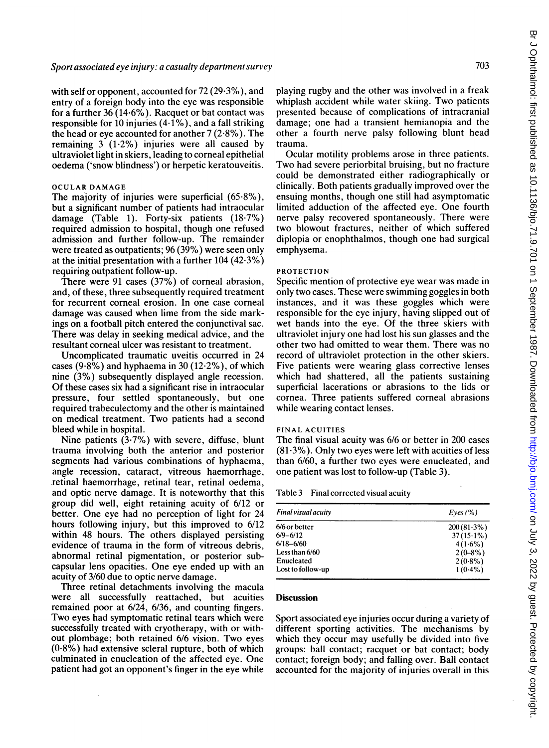with self or opponent, accounted for  $72(29.3\%)$ , and entry of a foreign body into the eye was responsible for a further 36 (14.6%). Racquet or bat contact was responsible for 10 injuries  $(4.1\%)$ , and a fall striking the head or eye accounted for another 7 (2-8%). The remaining  $3(1.2\%)$  injuries were all caused by ultraviolet light in skiers, leading to corneal epithelial oedema ('snow blindness') or herpetic keratouveitis.

#### OCULAR DAMAGE

The majority of injuries were superficial (65.8%), but a significant number of patients had intraocular damage (Table 1). Forty-six patients (18-7%) required admission to hospital, though one refused admission and further follow-up. The remainder were treated as outpatients; 96 (39%) were seen only at the initial presentation with a further  $104 (42.3%)$ requiring outpatient follow-up.

There were 91 cases (37%) of corneal abrasion, and, of these, three subsequently required treatment for recurrent corneal erosion. In one case corneal damage was caused when lime from the side markings on a football pitch entered the conjunctival sac. There was delay in seeking medical advice, and the resultant corneal ulcer was resistant to treatment.

Uncomplicated traumatic uveitis occurred in 24 cases  $(9.8\%)$  and hyphaema in 30 (12.2%), of which nine (3%) subsequently displayed angle recession. Of these cases six had a significant rise in intraocular pressure, four settled spontaneously, but one required trabeculectomy and the other is maintained on medical treatment. Two patients had <sup>a</sup> second bleed while in hospital.

Nine patients  $(3.7%)$  with severe, diffuse, blunt trauma involving both the anterior and posterior segments had various combinations of hyphaema, angle recession, cataract, vitreous haemorrhage, retinal haemorrhage, retinal tear, retinal oedema, and optic nerve damage. It is noteworthy that this group did well, eight retaining acuity of 6/12 or better. One eye had no perception of light for 24 hours following injury, but this improved to 6/12 within 48 hours. The others displayed persisting evidence of trauma in the form of vitreous debris, abnormal retinal pigmentation, or posterior subcapsular lens opacities. One eye ended up with an acuity of 3/60 due to optic nerve damage.

Three retinal detachments involving the macula were all successfully reattached, but acuities remained poor at 6/24, 6/36, and counting fingers. Two eyes had symptomatic retinal tears which were successfully treated with cryotherapy, with or without plombage; both retained 6/6 vision. Two eyes  $(0.8\%)$  had extensive scleral rupture, both of which culminated in enucleation of the affected eye. One patient had got an opponent's finger in the eye while playing rugby and the other was involved in a freak whiplash accident while water skiing. Two patients presented because of complications of intracranial damage; one had a transient hemianopia and the other a fourth nerve palsy following blunt head trauma.

Ocular motility problems arose in three patients. Two had severe periorbital bruising, but no fracture could be demonstrated either radiographically or clinically. Both patients gradually improved over the ensuing months, though one still had asymptomatic limited adduction of the affected eye. One fourth nerve palsy recovered spontaneously. There were two blowout fractures, neither of which suffered diplopia or enophthalmos, though one had surgical emphysema.

#### PROTECTION

Specific mention of protective eye wear was made in only two cases. These were swimming goggles in both instances, and it was these goggles which were responsible for the eye injury, having slipped out of wet hands into the eye. Of the three skiers with ultraviolet injury one had lost his sun glasses and the other two had omitted to wear them. There was no record of ultraviolet protection in the other skiers. Five patients were wearing glass corrective lenses which had shattered, all the patients sustaining superficial lacerations or abrasions to the lids or cornea. Three patients suffered corneal abrasions while wearing contact lenses.

#### FINAL ACUITIES

The final visual acuity was 6/6 or better in 200 cases (81.3%). Only two eyes were left with acuities of less than 6/60, a further two eyes were enucleated, and one patient was lost to follow-up (Table 3).

Table 3 Final corrected visual acuity

| Final visual acuity | Eves (%)      |
|---------------------|---------------|
| 6/6 or better       | $200(81.3\%)$ |
| $6/9 - 6/12$        | $37(15.1\%)$  |
| $6/18 - 6/60$       | $4(1.6\%)$    |
| Less than 6/60      | $2(0-8%)$     |
| Enucleated          | $2(0.8\%)$    |
| Lost to follow-up   | $1(0.4\%)$    |

#### Discussion

Sport associated eye injuries occur during a variety of different sporting activities. The mechanisms by which they occur may usefully be divided into five groups: ball contact; racquet or bat contact; body contact; foreign body; and falling over. Ball contact accounted for the majority of injuries overall in this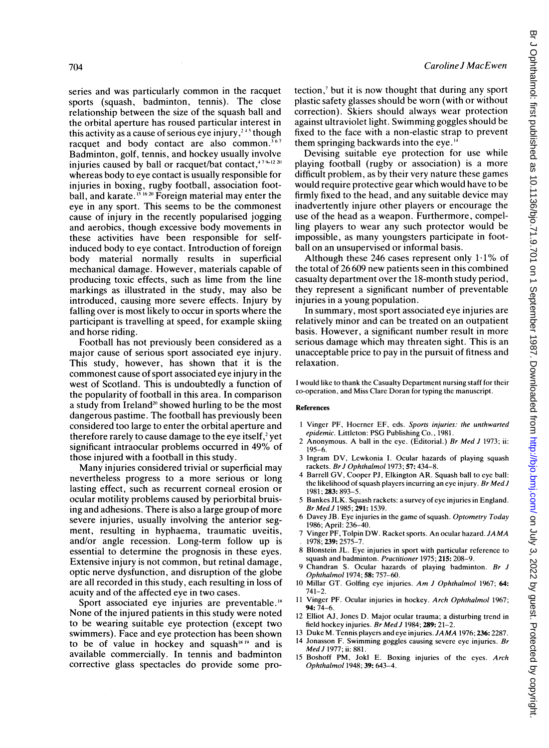series and was particularly common in the racquet sports (squash, badminton, tennis). The close relationship between the size of the squash ball and the orbital aperture has roused particular interest in this activity as a cause of serious eve injury,<sup> $245$ </sup> though racquet and body contact are also common.<sup>367</sup> Badminton, golf, tennis, and hockey usually involve injuries caused by ball or racquet/bat contact, $479-1220$ whereas body to eye contact is usually responsible for injuries in boxing, rugby football, association football, and karate.  $\frac{15}{16}$   $\frac{16}{20}$  Foreign material may enter the eye in any sport. This seems to be the commonest cause of injury in the recently popularised jogging and aerobics, though excessive body movements in these activities have been responsible for selfinduced body to eye contact. Introduction of foreign body material normally results in superficial mechanical damage. However, materials capable of producing toxic effects, such as lime from the line markings as illustrated in the study, may also be introduced, causing more severe effects. Injury by falling over is most likely to occur in sports where the participant is travelling at speed, for example skiing and horse riding.

Football has not previously been considered as a major cause of serious sport associated eye injury. This study, however, has shown that it is the commonest cause of sport associated eye injury in the west of Scotland. This is undoubtedly a function of the popularity of football in this area. In comparison a study from Ireland<sup>20</sup> showed hurling to be the most dangerous pastime. The football has previously been considered too large to enter the orbital aperture and therefore rarely to cause damage to the eye itself, $2$  yet significant intraocular problems occurred in 49% of those injured with a football in this study.

Many injuries considered trivial or superficial may nevertheless progress to a more serious or long lasting effect, such as recurrent corneal erosion or ocular motility problems caused by periorbital bruising and adhesions. There is also a large group of more severe injuries, usually involving the anterior segment, resulting in hyphaema, traumatic uveitis, and/or angle recession. Long-term follow up is essential to determine the prognosis in these eyes. Extensive injury is not common, but retinal damage, optic nerve dysfunction, and disruption of the globe are all recorded in this study, each resulting in loss of acuity and of the affected eye in two cases.

Sport associated eye injuries are preventable.<sup>18</sup> None of the injured patients in this study were noted to be wearing suitable eye protection (except two swimmers). Face and eye protection has been shown to be of value in hockey and squash $1819$  and is available commercially. In tennis and badminton corrective glass spectacles do provide some protection,7 but it is now thought that during any sport plastic safety glasses should be worn (with or without correction). Skiers should always wear protection against ultraviolet light. Swimming goggles should be fixed to the face with a non-elastic strap to prevent them springing backwards into the eye."4

Devising suitable eye protection for use while playing football (rugby or association) is a more difficult problem, as by their very nature these games would require protective gear which would have to be firmly fixed to the head, and any suitable device may inadvertently injure other players or encourage the use of the head as a weapon. Furthermore, compelling players to wear any such protector would be impossible, as many youngsters participate in football on an unsupervised or informal basis.

Although these 246 cases represent only  $1.1\%$  of the total of 26 609 new patients seen in this combined casualty department over the 18-month study period, they represent a significant number of preventable injuries in a young population.

In summary, most sport associated eye injuries are relatively minor and can be treated on an outpatient basis. However, a significant number result in more serious damage which may threaten sight. This is an unacceptable price to pay in the pursuit of fitness and relaxation.

<sup>I</sup> would like to thank the Casualty Department nursing staff for their co-operation, and Miss Clare Doran for typing the manuscript.

#### References

- <sup>I</sup> Vinger PF, Hoerner EF, eds. Sports injuries: the unthwarted epidemic. Littleton: PSG Publishing Co., 1981.
- <sup>2</sup> Anonymous. A ball in the eye. (Editorial.) Br Med <sup>J</sup> 1973; ii: 195-6.
- 3 Ingram DV, Lewkonia I. Ocular hazards of playing squash rackets. Br J Ophthalmol 1973; 57: 434-8.
- 4 Barrell GV, Cooper PJ, Elkington AR. Squash ball to eye ball: the likelihood of squash players incurring an eye injury. Br Med J 1981;283:893-5.
- 5 Bankes JLK. Squash rackets: a survey of eye injuries in England. Br Med J 1985; 291: 1539.
- 6 Davey JB. Eye injuries in the game of squash. Optometry Today 1986; April: 236-40.
- <sup>7</sup> Vinger PF, Tolpin DW. Racket sports. An ocular hazard. JAMA 1978; 239: 2575-7.
- 8 Blonstein JL. Eye injuries in sport with particular reference to squash and badminton. Practitioner 1975; 215: 208-9.
- 9 Chandran S. Ocular hazards of playing badminton. Br J Ophthalmol 1974; 58: 757-60.
- <sup>10</sup> Millar GT. Golfing eye injuries. Am <sup>J</sup> Ophthalmol 1967; 64:  $741 - 2$ .
- 11 Vinger PF. Ocular injuries in hockey. Arch Ophthalmol 1967; 94:74-6.
- 12 Elliot AJ, Jones D. Major ocular trauma; a disturbing trend in field hockey injuries. Br Med J 1984; 289: 21-2.
- <sup>13</sup> Duke M. Tennis players and eye injuries. JAMA 1976; 236: 2287. <sup>14</sup> Jonasson F. Swimming goggles causing severe eye injuries. Br MedJ 1977; ii: 881.
- 15 Boshoff PM, Jokl E. Boxing injuries of the eyes. Arch Ophthalmol 1948; 39: 643-4.